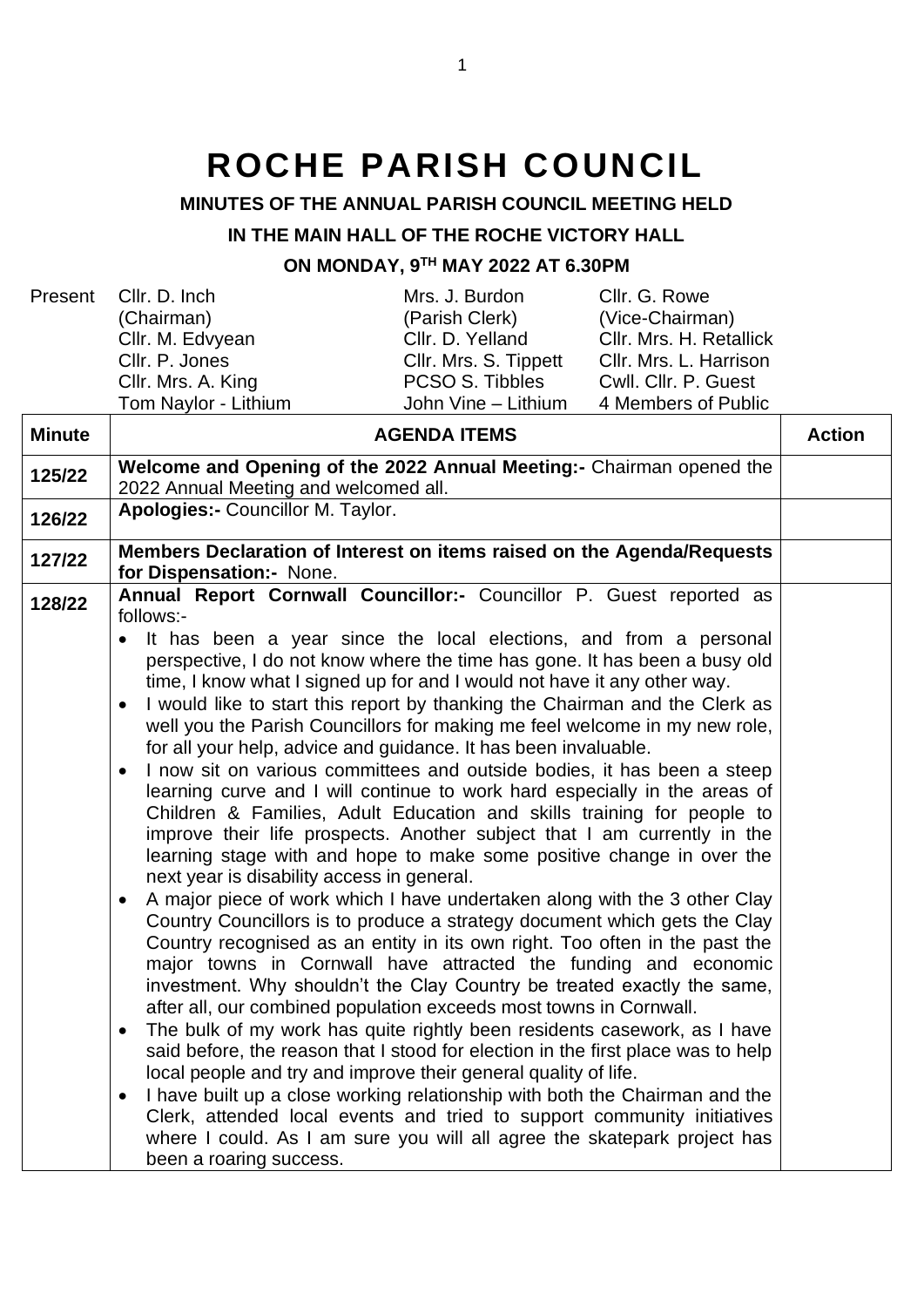## **ROCHE PARISH COUNCIL**

## **MINUTES OF THE ANNUAL PARISH COUNCIL MEETING HELD**

## **IN THE MAIN HALL OF THE ROCHE VICTORY HALL**

## **ON MONDAY, 9 TH MAY 2022 AT 6.30PM**

| Present       | Cllr. D. Inch<br>(Chairman)<br>Cllr. M. Edvyean<br>Cllr. P. Jones<br>Cllr. Mrs. A. King<br>Tom Naylor - Lithium                                                                                                                                                                                                                                                                                                                                                                                                                                                                                                                                                                                                                                                                                                                                                                                                                                                                                                                                                                                                                                                                                                                                                                                                                                                                                                                                                                                                                                                                                                                                                                                                                                | Mrs. J. Burdon<br>(Parish Clerk)<br>Cllr. D. Yelland<br>Cllr. Mrs. S. Tippett<br>PCSO S. Tibbles<br>John Vine - Lithium | Cllr. G. Rowe<br>(Vice-Chairman)<br>Cllr. Mrs. H. Retallick<br>Cllr. Mrs. L. Harrison<br>Cwll. Cllr. P. Guest<br>4 Members of Public |               |  |
|---------------|------------------------------------------------------------------------------------------------------------------------------------------------------------------------------------------------------------------------------------------------------------------------------------------------------------------------------------------------------------------------------------------------------------------------------------------------------------------------------------------------------------------------------------------------------------------------------------------------------------------------------------------------------------------------------------------------------------------------------------------------------------------------------------------------------------------------------------------------------------------------------------------------------------------------------------------------------------------------------------------------------------------------------------------------------------------------------------------------------------------------------------------------------------------------------------------------------------------------------------------------------------------------------------------------------------------------------------------------------------------------------------------------------------------------------------------------------------------------------------------------------------------------------------------------------------------------------------------------------------------------------------------------------------------------------------------------------------------------------------------------|-------------------------------------------------------------------------------------------------------------------------|--------------------------------------------------------------------------------------------------------------------------------------|---------------|--|
| <b>Minute</b> | <b>AGENDA ITEMS</b>                                                                                                                                                                                                                                                                                                                                                                                                                                                                                                                                                                                                                                                                                                                                                                                                                                                                                                                                                                                                                                                                                                                                                                                                                                                                                                                                                                                                                                                                                                                                                                                                                                                                                                                            |                                                                                                                         |                                                                                                                                      | <b>Action</b> |  |
| 125/22        | Welcome and Opening of the 2022 Annual Meeting: - Chairman opened the<br>2022 Annual Meeting and welcomed all.                                                                                                                                                                                                                                                                                                                                                                                                                                                                                                                                                                                                                                                                                                                                                                                                                                                                                                                                                                                                                                                                                                                                                                                                                                                                                                                                                                                                                                                                                                                                                                                                                                 |                                                                                                                         |                                                                                                                                      |               |  |
| 126/22        | Apologies:- Councillor M. Taylor.                                                                                                                                                                                                                                                                                                                                                                                                                                                                                                                                                                                                                                                                                                                                                                                                                                                                                                                                                                                                                                                                                                                                                                                                                                                                                                                                                                                                                                                                                                                                                                                                                                                                                                              |                                                                                                                         |                                                                                                                                      |               |  |
| 127/22        | Members Declaration of Interest on items raised on the Agenda/Requests<br>for Dispensation:- None.                                                                                                                                                                                                                                                                                                                                                                                                                                                                                                                                                                                                                                                                                                                                                                                                                                                                                                                                                                                                                                                                                                                                                                                                                                                                                                                                                                                                                                                                                                                                                                                                                                             |                                                                                                                         |                                                                                                                                      |               |  |
| 128/22        | Annual Report Cornwall Councillor:- Councillor P. Guest reported as<br>follows:-<br>It has been a year since the local elections, and from a personal<br>$\bullet$<br>perspective, I do not know where the time has gone. It has been a busy old<br>time, I know what I signed up for and I would not have it any other way.<br>I would like to start this report by thanking the Chairman and the Clerk as<br>$\bullet$<br>well you the Parish Councillors for making me feel welcome in my new role,<br>for all your help, advice and guidance. It has been invaluable.<br>I now sit on various committees and outside bodies, it has been a steep<br>$\bullet$<br>learning curve and I will continue to work hard especially in the areas of<br>Children & Families, Adult Education and skills training for people to<br>improve their life prospects. Another subject that I am currently in the<br>learning stage with and hope to make some positive change in over the<br>next year is disability access in general.<br>A major piece of work which I have undertaken along with the 3 other Clay<br>$\bullet$<br>Country Councillors is to produce a strategy document which gets the Clay<br>Country recognised as an entity in its own right. Too often in the past the<br>major towns in Cornwall have attracted the funding and economic<br>investment. Why shouldn't the Clay Country be treated exactly the same,<br>after all, our combined population exceeds most towns in Cornwall.<br>The bulk of my work has quite rightly been residents casework, as I have<br>٠<br>said before, the reason that I stood for election in the first place was to help<br>local people and try and improve their general quality of life. |                                                                                                                         |                                                                                                                                      |               |  |
|               | I have built up a close working relationship with both the Chairman and the<br>٠<br>Clerk, attended local events and tried to support community initiatives<br>where I could. As I am sure you will all agree the skatepark project has<br>been a roaring success.                                                                                                                                                                                                                                                                                                                                                                                                                                                                                                                                                                                                                                                                                                                                                                                                                                                                                                                                                                                                                                                                                                                                                                                                                                                                                                                                                                                                                                                                             |                                                                                                                         |                                                                                                                                      |               |  |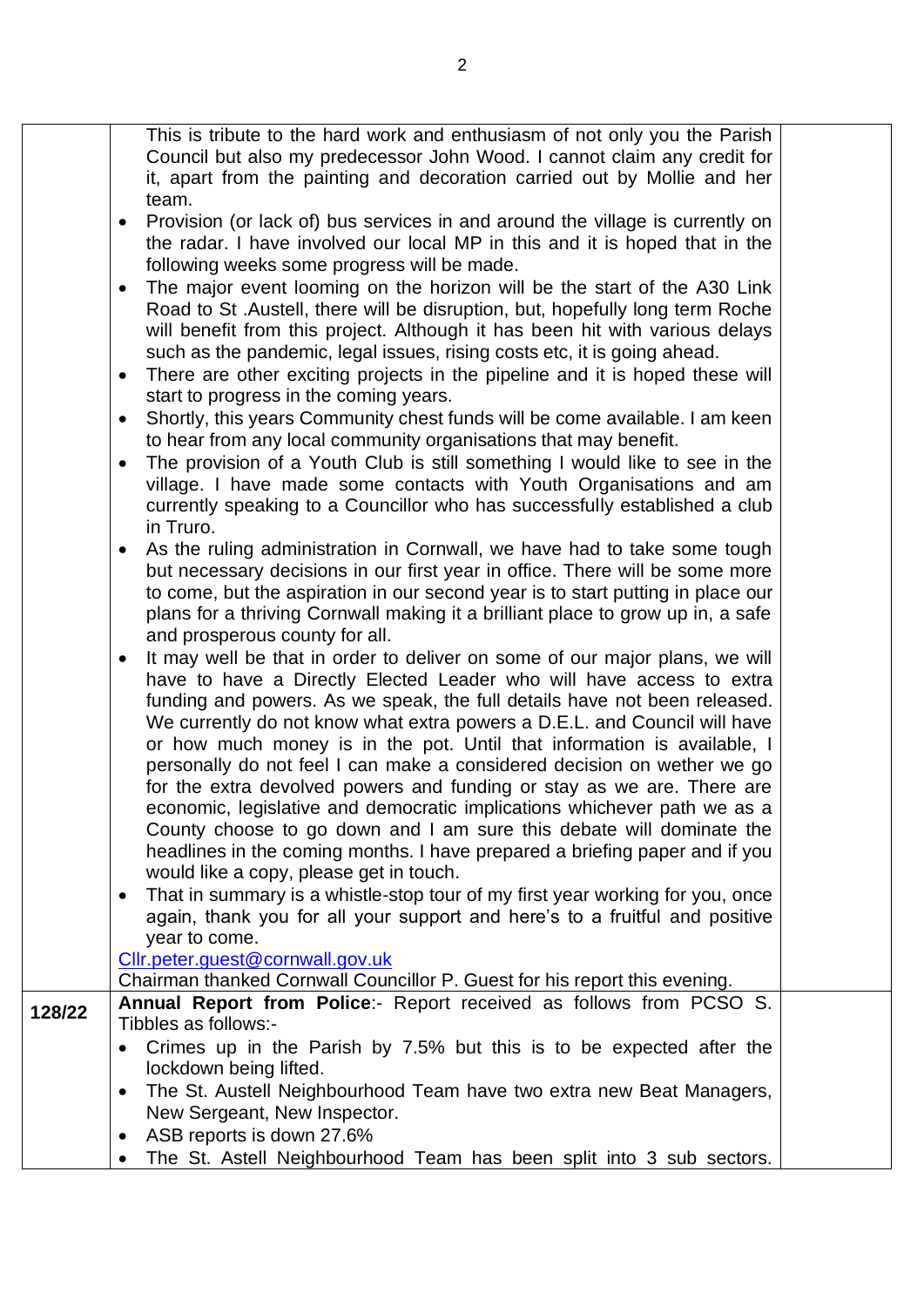This is tribute to the hard work and enthusiasm of not only you the Parish Council but also my predecessor John Wood. I cannot claim any credit for it, apart from the painting and decoration carried out by Mollie and her team.

- Provision (or lack of) bus services in and around the village is currently on the radar. I have involved our local MP in this and it is hoped that in the following weeks some progress will be made.
- The major event looming on the horizon will be the start of the A30 Link Road to St .Austell, there will be disruption, but, hopefully long term Roche will benefit from this project. Although it has been hit with various delays such as the pandemic, legal issues, rising costs etc, it is going ahead.
- There are other exciting projects in the pipeline and it is hoped these will start to progress in the coming years.
- Shortly, this years Community chest funds will be come available. I am keen to hear from any local community organisations that may benefit.
- The provision of a Youth Club is still something I would like to see in the village. I have made some contacts with Youth Organisations and am currently speaking to a Councillor who has successfully established a club in Truro.
- As the ruling administration in Cornwall, we have had to take some tough but necessary decisions in our first year in office. There will be some more to come, but the aspiration in our second year is to start putting in place our plans for a thriving Cornwall making it a brilliant place to grow up in, a safe and prosperous county for all.
- It may well be that in order to deliver on some of our major plans, we will have to have a Directly Elected Leader who will have access to extra funding and powers. As we speak, the full details have not been released. We currently do not know what extra powers a D.E.L. and Council will have or how much money is in the pot. Until that information is available, I personally do not feel I can make a considered decision on wether we go for the extra devolved powers and funding or stay as we are. There are economic, legislative and democratic implications whichever path we as a County choose to go down and I am sure this debate will dominate the headlines in the coming months. I have prepared a briefing paper and if you would like a copy, please get in touch.
- That in summary is a whistle-stop tour of my first year working for you, once again, thank you for all your support and here's to a fruitful and positive year to come.

[Cllr.peter.guest@cornwall.gov.uk](mailto:Cllr.peter.guest@cornwall.gov.uk)

Chairman thanked Cornwall Councillor P. Guest for his report this evening.

| 128/22 | Annual Report from Police:- Report received as follows from PCSO S.                                      |
|--------|----------------------------------------------------------------------------------------------------------|
|        | Tibbles as follows:-                                                                                     |
|        | $\bullet$ Crimes up in the Parish by 7.5% but this is to be expected after the<br>lockdown being lifted. |

- The St. Austell Neighbourhood Team have two extra new Beat Managers, New Sergeant, New Inspector.
- ASB reports is down 27.6%
- The St. Astell Neighbourhood Team has been split into 3 sub sectors.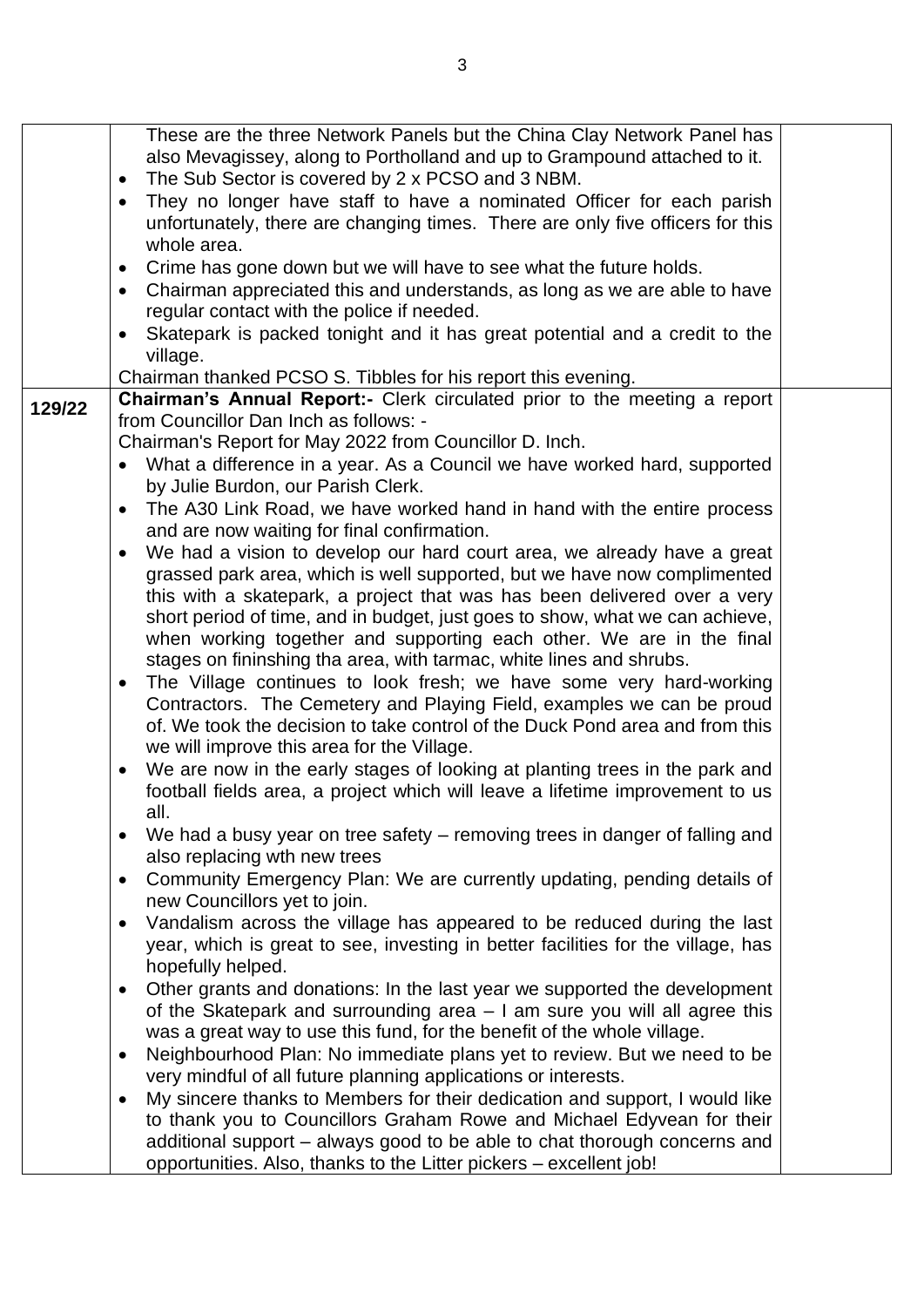|  | These are the three Network Panels but the China Clay Network Panel has                                                                                   |  |  |
|--|-----------------------------------------------------------------------------------------------------------------------------------------------------------|--|--|
|  | also Mevagissey, along to Portholland and up to Grampound attached to it.                                                                                 |  |  |
|  | The Sub Sector is covered by 2 x PCSO and 3 NBM.                                                                                                          |  |  |
|  | They no longer have staff to have a nominated Officer for each parish                                                                                     |  |  |
|  | unfortunately, there are changing times. There are only five officers for this                                                                            |  |  |
|  | whole area.                                                                                                                                               |  |  |
|  | Crime has gone down but we will have to see what the future holds.                                                                                        |  |  |
|  | Chairman appreciated this and understands, as long as we are able to have<br>$\bullet$                                                                    |  |  |
|  | regular contact with the police if needed.                                                                                                                |  |  |
|  | Skatepark is packed tonight and it has great potential and a credit to the                                                                                |  |  |
|  | village.                                                                                                                                                  |  |  |
|  | Chairman thanked PCSO S. Tibbles for his report this evening.                                                                                             |  |  |
|  | <b>Chairman's Annual Report:-</b> Clerk circulated prior to the meeting a report<br>129/22<br>from Councillor Dan Inch as follows: -                      |  |  |
|  |                                                                                                                                                           |  |  |
|  | Chairman's Report for May 2022 from Councillor D. Inch.                                                                                                   |  |  |
|  | What a difference in a year. As a Council we have worked hard, supported                                                                                  |  |  |
|  | by Julie Burdon, our Parish Clerk.                                                                                                                        |  |  |
|  | The A30 Link Road, we have worked hand in hand with the entire process                                                                                    |  |  |
|  | and are now waiting for final confirmation.                                                                                                               |  |  |
|  | We had a vision to develop our hard court area, we already have a great                                                                                   |  |  |
|  | grassed park area, which is well supported, but we have now complimented                                                                                  |  |  |
|  | this with a skatepark, a project that was has been delivered over a very                                                                                  |  |  |
|  | short period of time, and in budget, just goes to show, what we can achieve,                                                                              |  |  |
|  | when working together and supporting each other. We are in the final                                                                                      |  |  |
|  | stages on fininshing tha area, with tarmac, white lines and shrubs.                                                                                       |  |  |
|  | The Village continues to look fresh; we have some very hard-working<br>$\bullet$<br>Contractors. The Cemetery and Playing Field, examples we can be proud |  |  |
|  | of. We took the decision to take control of the Duck Pond area and from this                                                                              |  |  |
|  | we will improve this area for the Village.                                                                                                                |  |  |
|  | We are now in the early stages of looking at planting trees in the park and<br>$\bullet$                                                                  |  |  |
|  | football fields area, a project which will leave a lifetime improvement to us                                                                             |  |  |
|  | all.                                                                                                                                                      |  |  |
|  | We had a busy year on tree safety – removing trees in danger of falling and                                                                               |  |  |
|  | also replacing wth new trees                                                                                                                              |  |  |
|  | Community Emergency Plan: We are currently updating, pending details of                                                                                   |  |  |
|  | new Councillors yet to join.                                                                                                                              |  |  |
|  | Vandalism across the village has appeared to be reduced during the last                                                                                   |  |  |
|  | year, which is great to see, investing in better facilities for the village, has                                                                          |  |  |
|  | hopefully helped.                                                                                                                                         |  |  |
|  | Other grants and donations: In the last year we supported the development                                                                                 |  |  |
|  | of the Skatepark and surrounding area - I am sure you will all agree this                                                                                 |  |  |
|  | was a great way to use this fund, for the benefit of the whole village.                                                                                   |  |  |
|  | Neighbourhood Plan: No immediate plans yet to review. But we need to be<br>$\bullet$                                                                      |  |  |
|  | very mindful of all future planning applications or interests.                                                                                            |  |  |
|  | My sincere thanks to Members for their dedication and support, I would like                                                                               |  |  |
|  | to thank you to Councillors Graham Rowe and Michael Edyvean for their                                                                                     |  |  |
|  | additional support - always good to be able to chat thorough concerns and                                                                                 |  |  |
|  | opportunities. Also, thanks to the Litter pickers - excellent job!                                                                                        |  |  |